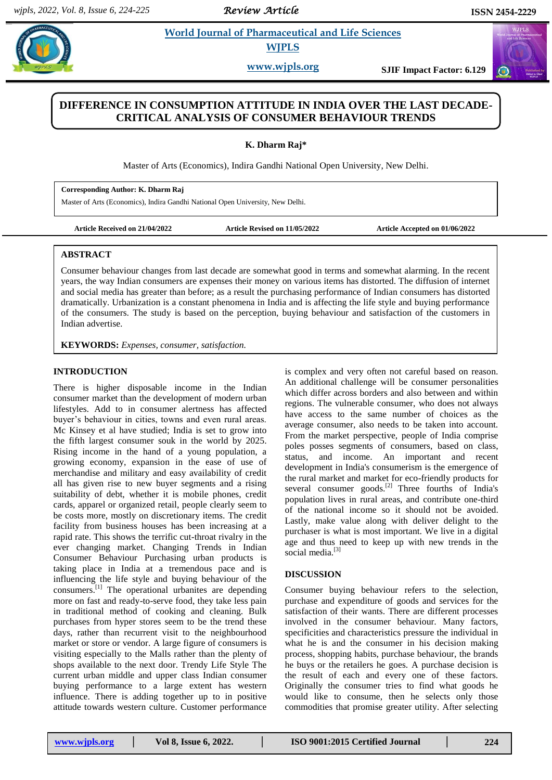*Review Article* 

## **Pharmaceutical and Life Sciences WJPLS**

**www.wjpls.org SJIF Impact Factor: 6.129**

# **DIFFERENCE IN CONSUMPTION ATTITUDE IN INDIA OVER THE LAST DECADE-CRITICAL ANALYSIS OF CONSUMER BEHAVIOUR TRENDS**

**K. Dharm Raj\***

Master of Arts (Economics), Indira Gandhi National Open University, New Delhi.

#### **Corresponding Author: K. Dharm Raj**

Master of Arts (Economics), Indira Gandhi National Open University, New Delhi.

**Article Received on 21/04/2022 Article Revised on 11/05/2022 Article Accepted on 01/06/2022**

## **ABSTRACT**

Consumer behaviour changes from last decade are somewhat good in terms and somewhat alarming. In the recent years, the way Indian consumers are expenses their money on various items has distorted. The diffusion of internet and social media has greater than before; as a result the purchasing performance of Indian consumers has distorted dramatically. Urbanization is a constant phenomena in India and is affecting the life style and buying performance of the consumers. The study is based on the perception, buying behaviour and satisfaction of the customers in Indian advertise.

**KEYWORDS:** *Expenses, consumer, satisfaction.*

## **INTRODUCTION**

There is higher disposable income in the Indian consumer market than the development of modern urban lifestyles. Add to in consumer alertness has affected buyer's behaviour in cities, towns and even rural areas. Mc Kinsey et al have studied; India is set to grow into the fifth largest consumer souk in the world by 2025. Rising income in the hand of a young population, a growing economy, expansion in the ease of use of merchandise and military and easy availability of credit all has given rise to new buyer segments and a rising suitability of debt, whether it is mobile phones, credit cards, apparel or organized retail, people clearly seem to be costs more, mostly on discretionary items. The credit facility from business houses has been increasing at a rapid rate. This shows the terrific cut-throat rivalry in the ever changing market. Changing Trends in Indian Consumer Behaviour Purchasing urban products is taking place in India at a tremendous pace and is influencing the life style and buying behaviour of the consumers.[1] The operational urbanites are depending more on fast and ready-to-serve food, they take less pain in traditional method of cooking and cleaning. Bulk purchases from hyper stores seem to be the trend these days, rather than recurrent visit to the neighbourhood market or store or vendor. A large figure of consumers is visiting especially to the Malls rather than the plenty of shops available to the next door. Trendy Life Style The current urban middle and upper class Indian consumer buying performance to a large extent has western influence. There is adding together up to in positive attitude towards western culture. Customer performance

is complex and very often not careful based on reason. An additional challenge will be consumer personalities which differ across borders and also between and within regions. The vulnerable consumer, who does not always have access to the same number of choices as the average consumer, also needs to be taken into account. From the market perspective, people of India comprise poles posses segments of consumers, based on class, status, and income. An important and recent development in India's consumerism is the emergence of the rural market and market for eco-friendly products for several consumer goods.<sup>[2]</sup> Three fourths of India's population lives in rural areas, and contribute one-third of the national income so it should not be avoided. Lastly, make value along with deliver delight to the purchaser is what is most important. We live in a digital age and thus need to keep up with new trends in the social media.<sup>[3]</sup>

### **DISCUSSION**

Consumer buying behaviour refers to the selection, purchase and expenditure of goods and services for the satisfaction of their wants. There are different processes involved in the consumer behaviour. Many factors, specificities and characteristics pressure the individual in what he is and the consumer in his decision making process, shopping habits, purchase behaviour, the brands he buys or the retailers he goes. A purchase decision is the result of each and every one of these factors. Originally the consumer tries to find what goods he would like to consume, then he selects only those commodities that promise greater utility. After selecting